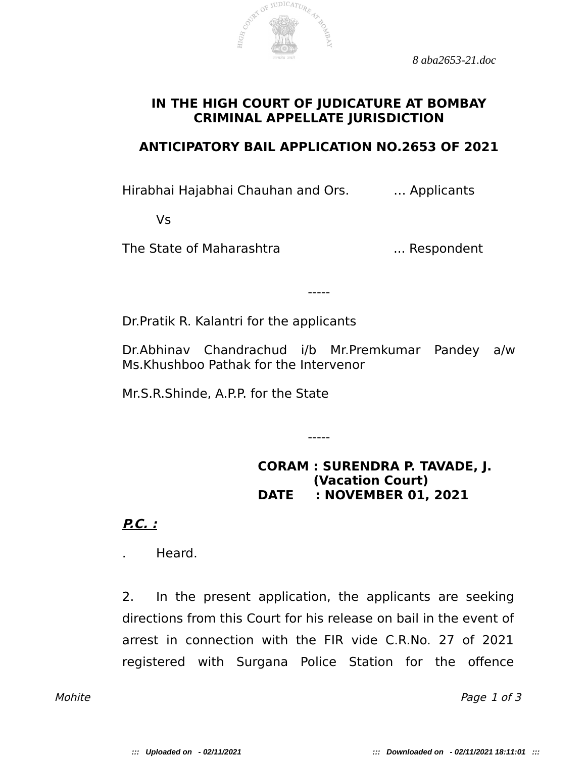*8 aba2653-21.doc*



## **IN THE HIGH COURT OF JUDICATURE AT BOMBAY CRIMINAL APPELLATE JURISDICTION**

## **ANTICIPATORY BAIL APPLICATION NO.2653 OF 2021**

Hirabhai Hajabhai Chauhan and Ors. … Applicants

Vs

The State of Maharashtra **...** ... Respondent

Dr.Pratik R. Kalantri for the applicants

Dr.Abhinav Chandrachud i/b Mr.Premkumar Pandey a/w Ms.Khushboo Pathak for the Intervenor

-----

-----

Mr.S.R.Shinde, A.P.P. for the State

**CORAM : SURENDRA P. TAVADE, J. (Vacation Court) DATE : NOVEMBER 01, 2021**

**P.C. :**

. Heard.

2. In the present application, the applicants are seeking directions from this Court for his release on bail in the event of arrest in connection with the FIR vide C.R.No. 27 of 2021 registered with Surgana Police Station for the ofence

Mohite Page 1 of 3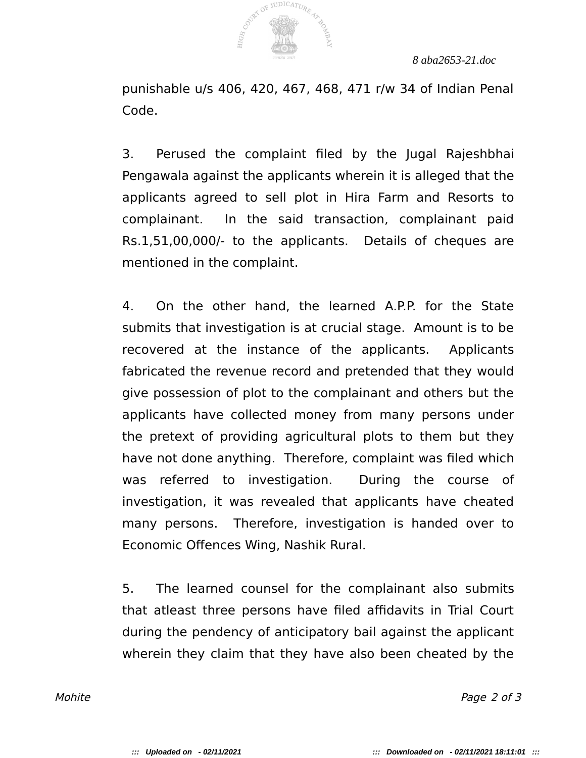

*8 aba2653-21.doc*

punishable u/s 406, 420, 467, 468, 471 r/w 34 of Indian Penal Code.

3. Perused the complaint fled by the Jugal Rajeshbhai Pengawala against the applicants wherein it is alleged that the applicants agreed to sell plot in Hira Farm and Resorts to complainant. In the said transaction, complainant paid Rs.1,51,00,000/- to the applicants. Details of cheques are mentioned in the complaint.

4. On the other hand, the learned A.P.P. for the State submits that investigation is at crucial stage. Amount is to be recovered at the instance of the applicants. Applicants fabricated the revenue record and pretended that they would give possession of plot to the complainant and others but the applicants have collected money from many persons under the pretext of providing agricultural plots to them but they have not done anything. Therefore, complaint was filed which was referred to investigation. During the course of investigation, it was revealed that applicants have cheated many persons. Therefore, investigation is handed over to Economic Ofences Wing, Nashik Rural.

5. The learned counsel for the complainant also submits that atleast three persons have filed affidavits in Trial Court during the pendency of anticipatory bail against the applicant wherein they claim that they have also been cheated by the

Mohite **Page 2 of 3**